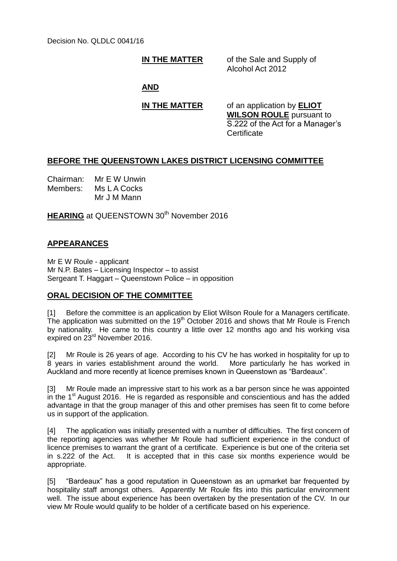Decision No. QLDLC 0041/16

**IN THE MATTER** of the Sale and Supply of Alcohol Act 2012

### **AND**

**IN THE MATTER** of an application by **ELIOT WILSON ROULE** pursuant to S.222 of the Act for a Manager's **Certificate** 

# **BEFORE THE QUEENSTOWN LAKES DISTRICT LICENSING COMMITTEE**

Chairman: Mr E W Unwin Members: Ms L A Cocks Mr J M Mann

**HEARING** at QUEENSTOWN 30<sup>th</sup> November 2016

## **APPEARANCES**

Mr E W Roule - applicant Mr N.P. Bates – Licensing Inspector – to assist Sergeant T. Haggart – Queenstown Police – in opposition

## **ORAL DECISION OF THE COMMITTEE**

[1] Before the committee is an application by Eliot Wilson Roule for a Managers certificate. The application was submitted on the 19<sup>th</sup> October 2016 and shows that Mr Roule is French by nationality. He came to this country a little over 12 months ago and his working visa expired on 23rd November 2016.

[2] Mr Roule is 26 years of age. According to his CV he has worked in hospitality for up to 8 years in varies establishment around the world. More particularly he has worked in Auckland and more recently at licence premises known in Queenstown as "Bardeaux".

[3] Mr Roule made an impressive start to his work as a bar person since he was appointed in the  $1<sup>st</sup>$  August 2016. He is regarded as responsible and conscientious and has the added advantage in that the group manager of this and other premises has seen fit to come before us in support of the application.

[4] The application was initially presented with a number of difficulties. The first concern of the reporting agencies was whether Mr Roule had sufficient experience in the conduct of licence premises to warrant the grant of a certificate. Experience is but one of the criteria set in s.222 of the Act. It is accepted that in this case six months experience would be appropriate.

[5] "Bardeaux" has a good reputation in Queenstown as an upmarket bar frequented by hospitality staff amongst others. Apparently Mr Roule fits into this particular environment well. The issue about experience has been overtaken by the presentation of the CV. In our view Mr Roule would qualify to be holder of a certificate based on his experience.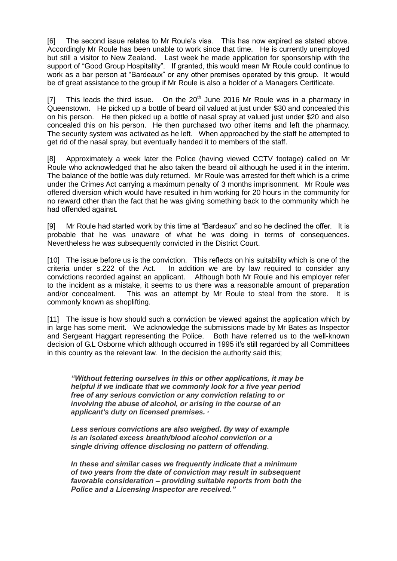[6] The second issue relates to Mr Roule's visa. This has now expired as stated above. Accordingly Mr Roule has been unable to work since that time. He is currently unemployed but still a visitor to New Zealand. Last week he made application for sponsorship with the support of "Good Group Hospitality". If granted, this would mean Mr Roule could continue to work as a bar person at "Bardeaux" or any other premises operated by this group. It would be of great assistance to the group if Mr Roule is also a holder of a Managers Certificate.

[7] This leads the third issue. On the  $20<sup>th</sup>$  June 2016 Mr Roule was in a pharmacy in Queenstown. He picked up a bottle of beard oil valued at just under \$30 and concealed this on his person. He then picked up a bottle of nasal spray at valued just under \$20 and also concealed this on his person. He then purchased two other items and left the pharmacy. The security system was activated as he left. When approached by the staff he attempted to get rid of the nasal spray, but eventually handed it to members of the staff.

[8] Approximately a week later the Police (having viewed CCTV footage) called on Mr Roule who acknowledged that he also taken the beard oil although he used it in the interim. The balance of the bottle was duly returned. Mr Roule was arrested for theft which is a crime under the Crimes Act carrying a maximum penalty of 3 months imprisonment. Mr Roule was offered diversion which would have resulted in him working for 20 hours in the community for no reward other than the fact that he was giving something back to the community which he had offended against.

[9] Mr Roule had started work by this time at "Bardeaux" and so he declined the offer. It is probable that he was unaware of what he was doing in terms of consequences. Nevertheless he was subsequently convicted in the District Court.

[10] The issue before us is the conviction. This reflects on his suitability which is one of the criteria under s.222 of the Act. In addition we are by law required to consider any convictions recorded against an applicant. Although both Mr Roule and his employer refer to the incident as a mistake, it seems to us there was a reasonable amount of preparation and/or concealment. This was an attempt by Mr Roule to steal from the store. It is commonly known as shoplifting.

[11] The issue is how should such a conviction be viewed against the application which by in large has some merit. We acknowledge the submissions made by Mr Bates as Inspector and Sergeant Haggart representing the Police. Both have referred us to the well-known decision of G.L Osborne which although occurred in 1995 it's still regarded by all Committees in this country as the relevant law. In the decision the authority said this;

*"Without fettering ourselves in this or other applications, it may be helpful if we indicate that we commonly look for a five year period free of any serious conviction or any conviction relating to or involving the abuse of alcohol, or arising in the course of an applicant's duty on licensed premises. ·*

*Less serious convictions are also weighed. By way of example is an isolated excess breath/blood alcohol conviction or a single driving offence disclosing no pattern of offending.*

*In these and similar cases we frequently indicate that a minimum of two years from the date of conviction may result in subsequent favorable consideration – providing suitable reports from both the Police and a Licensing Inspector are received."*